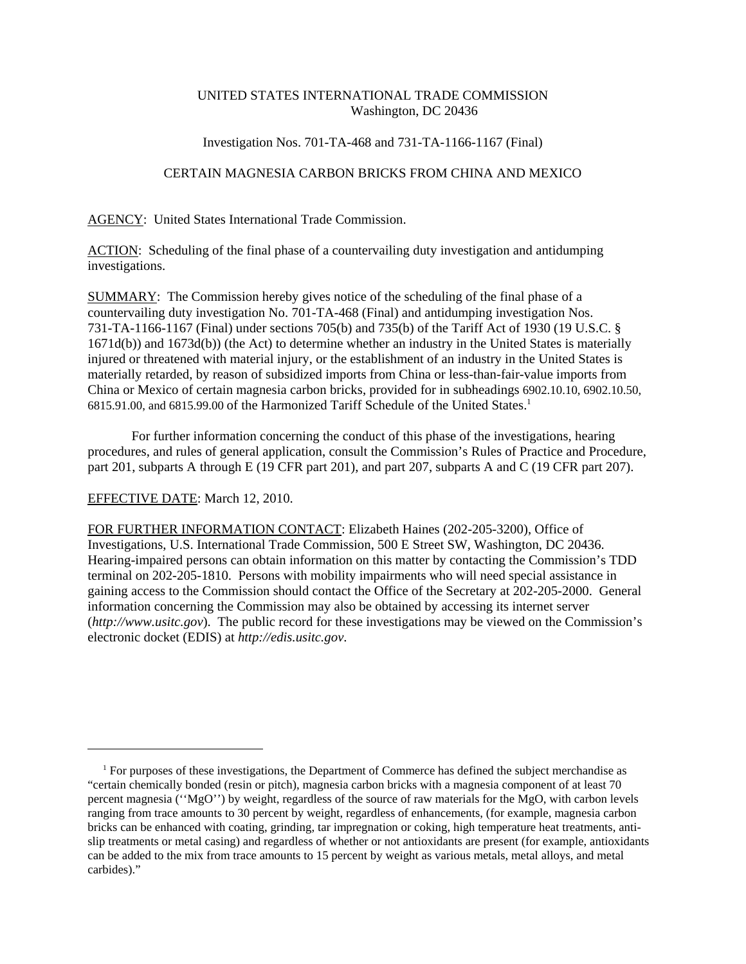# UNITED STATES INTERNATIONAL TRADE COMMISSION Washington, DC 20436

## Investigation Nos. 701-TA-468 and 731-TA-1166-1167 (Final)

## CERTAIN MAGNESIA CARBON BRICKS FROM CHINA AND MEXICO

AGENCY: United States International Trade Commission.

ACTION: Scheduling of the final phase of a countervailing duty investigation and antidumping investigations.

SUMMARY: The Commission hereby gives notice of the scheduling of the final phase of a countervailing duty investigation No. 701-TA-468 (Final) and antidumping investigation Nos. 731-TA-1166-1167 (Final) under sections 705(b) and 735(b) of the Tariff Act of 1930 (19 U.S.C. § 1671d(b)) and 1673d(b)) (the Act) to determine whether an industry in the United States is materially injured or threatened with material injury, or the establishment of an industry in the United States is materially retarded, by reason of subsidized imports from China or less-than-fair-value imports from China or Mexico of certain magnesia carbon bricks, provided for in subheadings 6902.10.10, 6902.10.50, 6815.91.00, and 6815.99.00 of the Harmonized Tariff Schedule of the United States.1

For further information concerning the conduct of this phase of the investigations, hearing procedures, and rules of general application, consult the Commission's Rules of Practice and Procedure, part 201, subparts A through E (19 CFR part 201), and part 207, subparts A and C (19 CFR part 207).

#### EFFECTIVE DATE: March 12, 2010.

FOR FURTHER INFORMATION CONTACT: Elizabeth Haines (202-205-3200), Office of Investigations, U.S. International Trade Commission, 500 E Street SW, Washington, DC 20436. Hearing-impaired persons can obtain information on this matter by contacting the Commission's TDD terminal on 202-205-1810. Persons with mobility impairments who will need special assistance in gaining access to the Commission should contact the Office of the Secretary at 202-205-2000. General information concerning the Commission may also be obtained by accessing its internet server (*http://www.usitc.gov*). The public record for these investigations may be viewed on the Commission's electronic docket (EDIS) at *http://edis.usitc.gov*.

 <sup>1</sup> For purposes of these investigations, the Department of Commerce has defined the subject merchandise as "certain chemically bonded (resin or pitch), magnesia carbon bricks with a magnesia component of at least 70 percent magnesia (''MgO'') by weight, regardless of the source of raw materials for the MgO, with carbon levels ranging from trace amounts to 30 percent by weight, regardless of enhancements, (for example, magnesia carbon bricks can be enhanced with coating, grinding, tar impregnation or coking, high temperature heat treatments, antislip treatments or metal casing) and regardless of whether or not antioxidants are present (for example, antioxidants can be added to the mix from trace amounts to 15 percent by weight as various metals, metal alloys, and metal carbides)."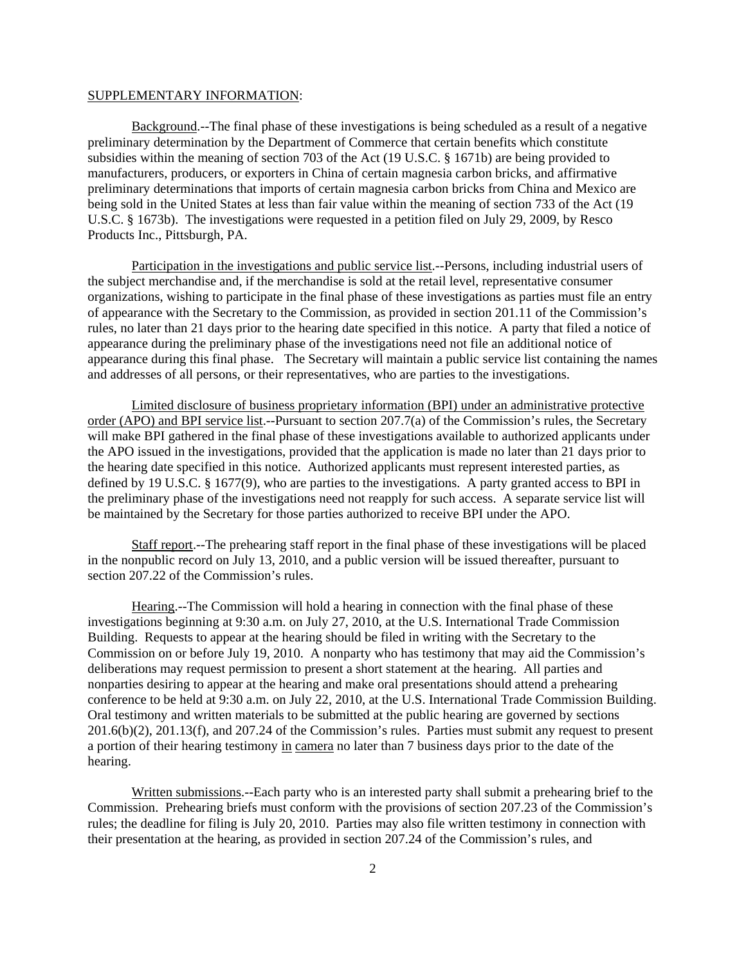#### SUPPLEMENTARY INFORMATION:

Background.--The final phase of these investigations is being scheduled as a result of a negative preliminary determination by the Department of Commerce that certain benefits which constitute subsidies within the meaning of section 703 of the Act (19 U.S.C. § 1671b) are being provided to manufacturers, producers, or exporters in China of certain magnesia carbon bricks, and affirmative preliminary determinations that imports of certain magnesia carbon bricks from China and Mexico are being sold in the United States at less than fair value within the meaning of section 733 of the Act (19 U.S.C. § 1673b). The investigations were requested in a petition filed on July 29, 2009, by Resco Products Inc., Pittsburgh, PA.

Participation in the investigations and public service list.--Persons, including industrial users of the subject merchandise and, if the merchandise is sold at the retail level, representative consumer organizations, wishing to participate in the final phase of these investigations as parties must file an entry of appearance with the Secretary to the Commission, as provided in section 201.11 of the Commission's rules, no later than 21 days prior to the hearing date specified in this notice. A party that filed a notice of appearance during the preliminary phase of the investigations need not file an additional notice of appearance during this final phase. The Secretary will maintain a public service list containing the names and addresses of all persons, or their representatives, who are parties to the investigations.

Limited disclosure of business proprietary information (BPI) under an administrative protective order (APO) and BPI service list.--Pursuant to section 207.7(a) of the Commission's rules, the Secretary will make BPI gathered in the final phase of these investigations available to authorized applicants under the APO issued in the investigations, provided that the application is made no later than 21 days prior to the hearing date specified in this notice. Authorized applicants must represent interested parties, as defined by 19 U.S.C. § 1677(9), who are parties to the investigations. A party granted access to BPI in the preliminary phase of the investigations need not reapply for such access. A separate service list will be maintained by the Secretary for those parties authorized to receive BPI under the APO.

Staff report.--The prehearing staff report in the final phase of these investigations will be placed in the nonpublic record on July 13, 2010, and a public version will be issued thereafter, pursuant to section 207.22 of the Commission's rules.

Hearing.--The Commission will hold a hearing in connection with the final phase of these investigations beginning at 9:30 a.m. on July 27, 2010, at the U.S. International Trade Commission Building. Requests to appear at the hearing should be filed in writing with the Secretary to the Commission on or before July 19, 2010. A nonparty who has testimony that may aid the Commission's deliberations may request permission to present a short statement at the hearing. All parties and nonparties desiring to appear at the hearing and make oral presentations should attend a prehearing conference to be held at 9:30 a.m. on July 22, 2010, at the U.S. International Trade Commission Building. Oral testimony and written materials to be submitted at the public hearing are governed by sections 201.6(b)(2), 201.13(f), and 207.24 of the Commission's rules. Parties must submit any request to present a portion of their hearing testimony in camera no later than 7 business days prior to the date of the hearing.

Written submissions.--Each party who is an interested party shall submit a prehearing brief to the Commission. Prehearing briefs must conform with the provisions of section 207.23 of the Commission's rules; the deadline for filing is July 20, 2010. Parties may also file written testimony in connection with their presentation at the hearing, as provided in section 207.24 of the Commission's rules, and